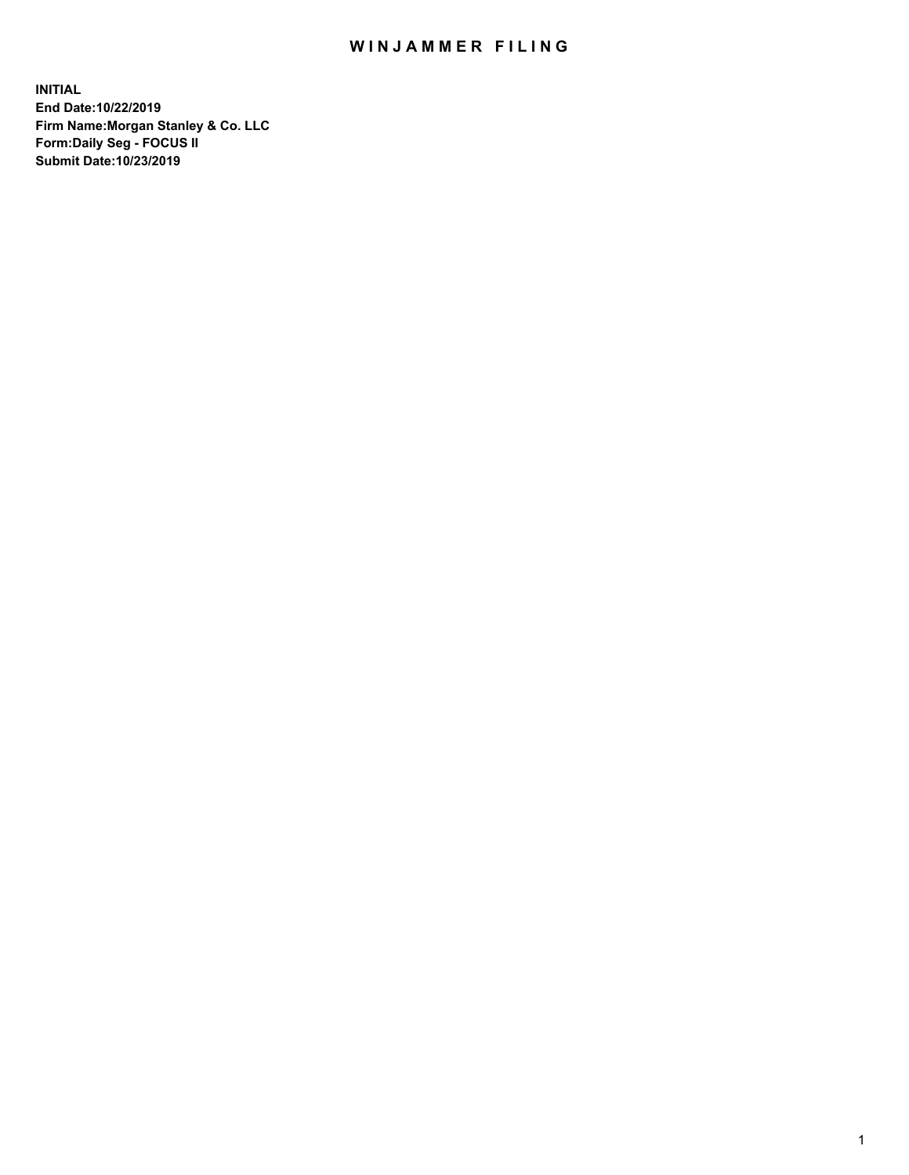## WIN JAMMER FILING

**INITIAL End Date:10/22/2019 Firm Name:Morgan Stanley & Co. LLC Form:Daily Seg - FOCUS II Submit Date:10/23/2019**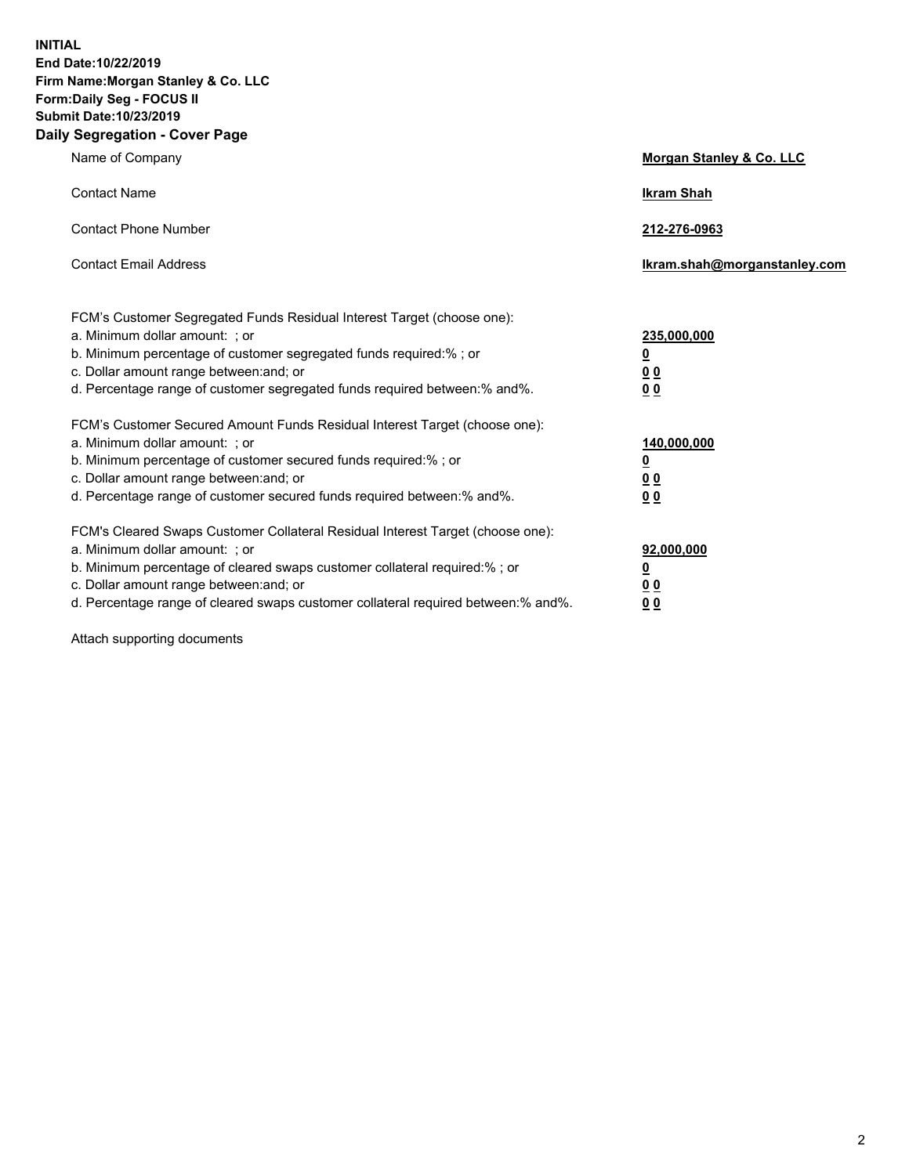**INITIAL End Date:10/22/2019 Firm Name:Morgan Stanley & Co. LLC Form:Daily Seg - FOCUS II Submit Date:10/23/2019 Daily Segregation - Cover Page**

| Name of Company                                                                                                                                                                                                                                                                                        | Morgan Stanley & Co. LLC             |
|--------------------------------------------------------------------------------------------------------------------------------------------------------------------------------------------------------------------------------------------------------------------------------------------------------|--------------------------------------|
| <b>Contact Name</b>                                                                                                                                                                                                                                                                                    | <b>Ikram Shah</b>                    |
| <b>Contact Phone Number</b>                                                                                                                                                                                                                                                                            | 212-276-0963                         |
| <b>Contact Email Address</b>                                                                                                                                                                                                                                                                           | Ikram.shah@morganstanley.com         |
| FCM's Customer Segregated Funds Residual Interest Target (choose one):<br>a. Minimum dollar amount: ; or<br>b. Minimum percentage of customer segregated funds required:% ; or<br>c. Dollar amount range between: and; or<br>d. Percentage range of customer segregated funds required between:% and%. | 235,000,000<br><u>0</u><br>00<br>00  |
| FCM's Customer Secured Amount Funds Residual Interest Target (choose one):<br>a. Minimum dollar amount: ; or<br>b. Minimum percentage of customer secured funds required:% ; or<br>c. Dollar amount range between: and; or                                                                             | 140,000,000<br><u>0</u><br><u>00</u> |
| d. Percentage range of customer secured funds required between: % and %.<br>FCM's Cleared Swaps Customer Collateral Residual Interest Target (choose one):                                                                                                                                             | 0 <sub>0</sub>                       |
| a. Minimum dollar amount: ; or<br>b. Minimum percentage of cleared swaps customer collateral required:% ; or<br>c. Dollar amount range between: and; or<br>d. Percentage range of cleared swaps customer collateral required between:% and%.                                                           | 92,000,000<br><u>0</u><br>0 Q<br>00  |

Attach supporting documents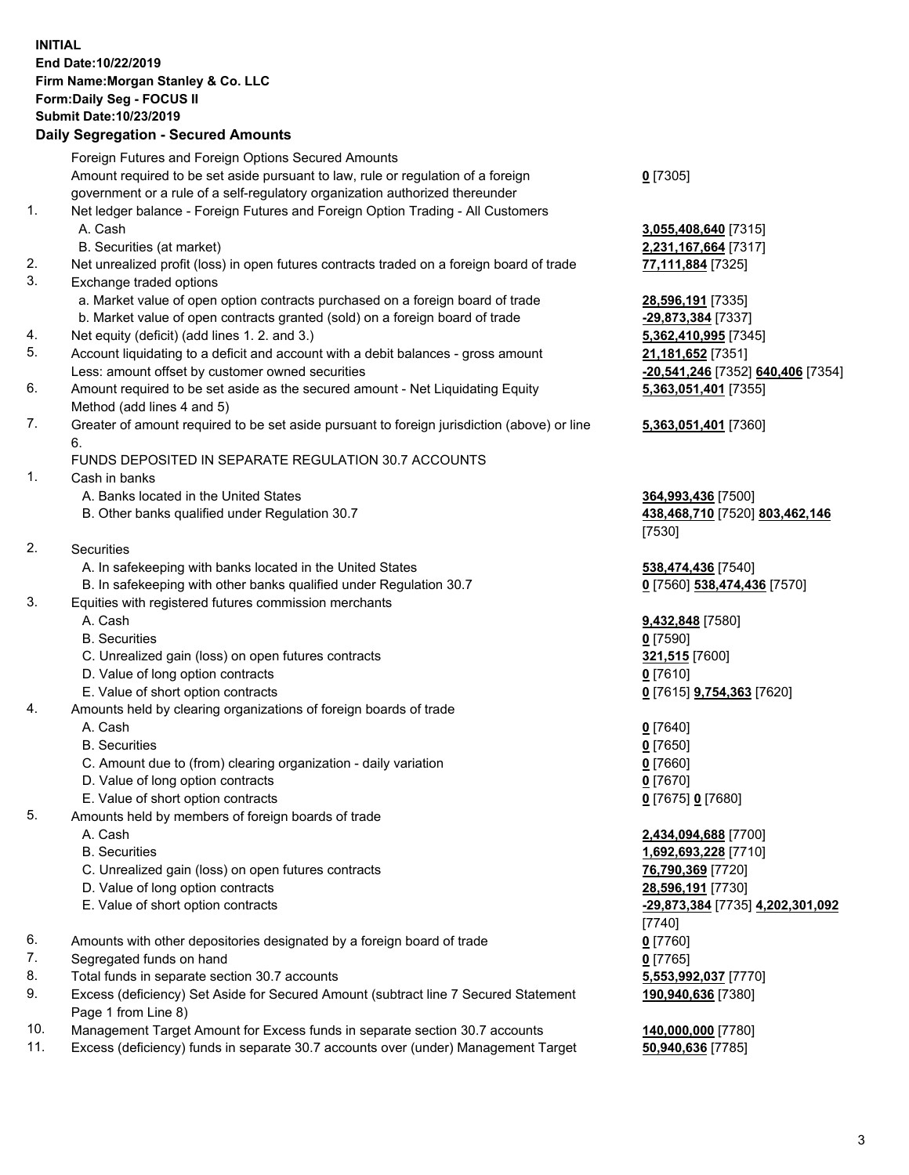## **INITIAL End Date:10/22/2019 Firm Name:Morgan Stanley & Co. LLC Form:Daily Seg - FOCUS II Submit Date:10/23/2019**

## **Daily Segregation - Secured Amounts**

|          | Foreign Futures and Foreign Options Secured Amounts                                                        |                       |
|----------|------------------------------------------------------------------------------------------------------------|-----------------------|
|          | Amount required to be set aside pursuant to law, rule or regulation of a foreign                           | $0$ [7305]            |
|          | government or a rule of a self-regulatory organization authorized thereunder                               |                       |
| 1.       | Net ledger balance - Foreign Futures and Foreign Option Trading - All Customers                            |                       |
|          | A. Cash                                                                                                    | 3,055,408,640 [7315]  |
|          | B. Securities (at market)                                                                                  | 2,231,167,664 [7317]  |
| 2.       | Net unrealized profit (loss) in open futures contracts traded on a foreign board of trade                  | 77,111,884 [7325]     |
| 3.       | Exchange traded options                                                                                    |                       |
|          | a. Market value of open option contracts purchased on a foreign board of trade                             | 28,596,191 [7335]     |
|          | b. Market value of open contracts granted (sold) on a foreign board of trade                               | -29,873,384 [7337]    |
| 4.       | Net equity (deficit) (add lines 1.2. and 3.)                                                               | 5,362,410,995 [7345]  |
| 5.       | Account liquidating to a deficit and account with a debit balances - gross amount                          | 21,181,652 [7351]     |
|          | Less: amount offset by customer owned securities                                                           | -20,541,246 [7352] 6  |
| 6.       | Amount required to be set aside as the secured amount - Net Liquidating Equity                             | 5,363,051,401 [7355]  |
|          | Method (add lines 4 and 5)                                                                                 |                       |
| 7.       | Greater of amount required to be set aside pursuant to foreign jurisdiction (above) or line                | 5,363,051,401 [7360]  |
|          | 6.<br>FUNDS DEPOSITED IN SEPARATE REGULATION 30.7 ACCOUNTS                                                 |                       |
| 1.       | Cash in banks                                                                                              |                       |
|          | A. Banks located in the United States                                                                      | 364,993,436 [7500]    |
|          | B. Other banks qualified under Regulation 30.7                                                             | 438,468,710 [7520] 8  |
|          |                                                                                                            | [7530]                |
| 2.       | Securities                                                                                                 |                       |
|          | A. In safekeeping with banks located in the United States                                                  | 538,474,436 [7540]    |
|          | B. In safekeeping with other banks qualified under Regulation 30.7                                         | 0 [7560] 538,474,436  |
| 3.       | Equities with registered futures commission merchants                                                      |                       |
|          | A. Cash                                                                                                    | 9,432,848 [7580]      |
|          | <b>B.</b> Securities                                                                                       | $0$ [7590]            |
|          | C. Unrealized gain (loss) on open futures contracts                                                        | 321,515 [7600]        |
|          | D. Value of long option contracts                                                                          | $0$ [7610]            |
|          | E. Value of short option contracts                                                                         | 0 [7615] 9,754,363 [7 |
| 4.       | Amounts held by clearing organizations of foreign boards of trade                                          |                       |
|          | A. Cash                                                                                                    | $0$ [7640]            |
|          | <b>B.</b> Securities                                                                                       | $0$ [7650]            |
|          | C. Amount due to (from) clearing organization - daily variation                                            | $0$ [7660]            |
|          | D. Value of long option contracts                                                                          | $0$ [7670]            |
|          | E. Value of short option contracts                                                                         | 0 [7675] 0 [7680]     |
| 5.       | Amounts held by members of foreign boards of trade                                                         |                       |
|          | A. Cash                                                                                                    | 2,434,094,688 [7700]  |
|          | <b>B.</b> Securities                                                                                       | 1,692,693,228 [7710]  |
|          | C. Unrealized gain (loss) on open futures contracts                                                        | 76,790,369 [7720]     |
|          | D. Value of long option contracts                                                                          | 28,596,191 [7730]     |
|          | E. Value of short option contracts                                                                         | -29,873,384 [7735] 4. |
|          |                                                                                                            | [7740]                |
| 6.       | Amounts with other depositories designated by a foreign board of trade                                     | $0$ [7760]            |
| 7.       | Segregated funds on hand                                                                                   | $0$ [7765]            |
| 8.<br>9. | Total funds in separate section 30.7 accounts                                                              | 5,553,992,037 [7770]  |
|          | Excess (deficiency) Set Aside for Secured Amount (subtract line 7 Secured Statement<br>Page 1 from Line 8) | 190,940,636 [7380]    |

- 10. Management Target Amount for Excess funds in separate section 30.7 accounts **140,000,000** [7780]
- 11. Excess (deficiency) funds in separate 30.7 accounts over (under) Management Target **50,940,636** [7785]

**8,640** [7315] **7,664** [7317]

Less: amount offset by customer owned securities **-20,541,246** [7352] **640,406** [7354] **5,363,051,401** [7355]

## **5,363,051,401** [7360]

B. Other banks qualified under Regulation 30.7 **438,468,710** [7520] **803,462,146**

**538,474,436** [7570]

E. Value of short option contracts **0** [7615] **9,754,363** [7620]

 A. Cash **2,434,094,688** [7700] **8,228** [7710] E. Value of short option contracts **-29,873,384** [7735] **4,202,301,092 190,940,636** [7380]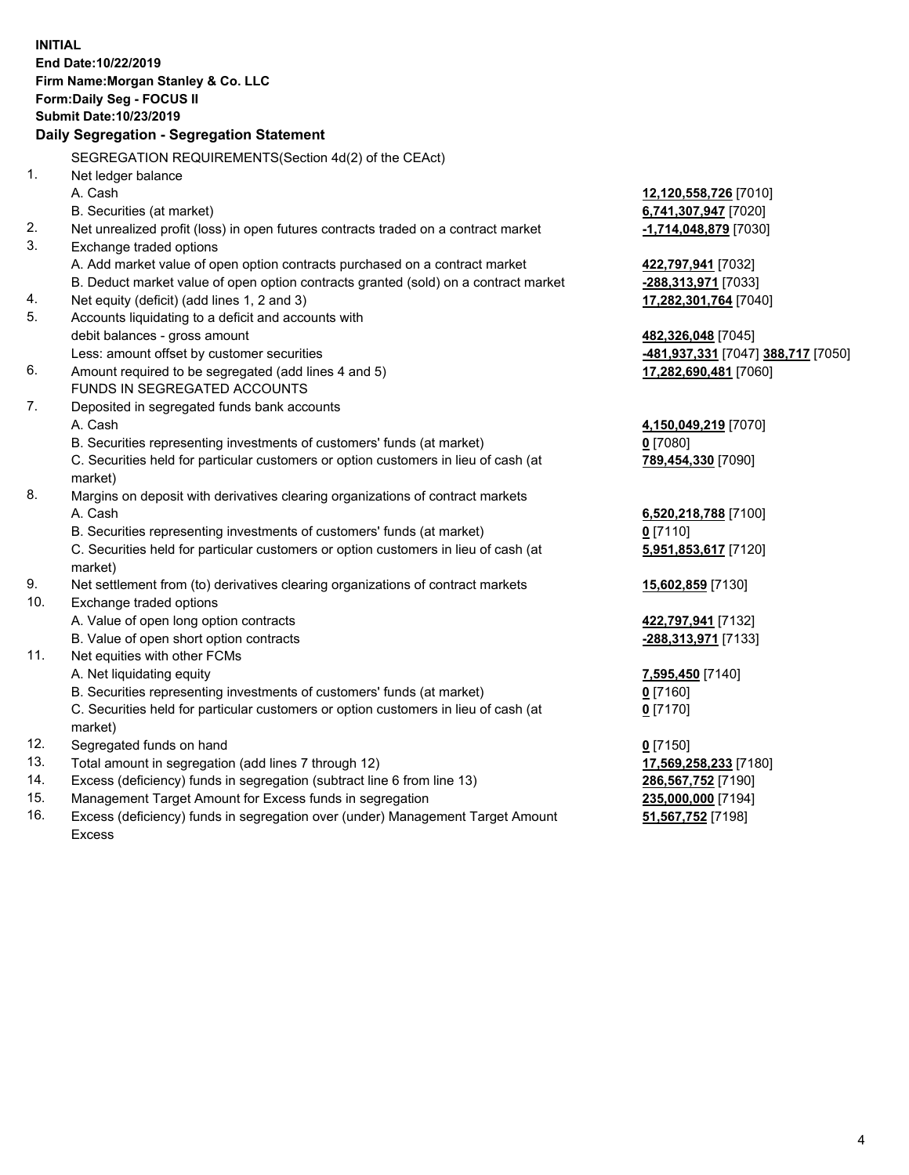**INITIAL End Date:10/22/2019 Firm Name:Morgan Stanley & Co. LLC Form:Daily Seg - FOCUS II Submit Date:10/23/2019 Daily Segregation - Segregation Statement** SEGREGATION REQUIREMENTS(Section 4d(2) of the CEAct) 1. Net ledger balance A. Cash **12,120,558,726** [7010] B. Securities (at market) **6,741,307,947** [7020] 2. Net unrealized profit (loss) in open futures contracts traded on a contract market **-1,714,048,879** [7030] 3. Exchange traded options A. Add market value of open option contracts purchased on a contract market **422,797,941** [7032] B. Deduct market value of open option contracts granted (sold) on a contract market **-288,313,971** [7033] 4. Net equity (deficit) (add lines 1, 2 and 3) **17,282,301,764** [7040] 5. Accounts liquidating to a deficit and accounts with debit balances - gross amount **482,326,048** [7045] Less: amount offset by customer securities **-481,937,331** [7047] **388,717** [7050] 6. Amount required to be segregated (add lines 4 and 5) **17,282,690,481** [7060] FUNDS IN SEGREGATED ACCOUNTS 7. Deposited in segregated funds bank accounts A. Cash **4,150,049,219** [7070] B. Securities representing investments of customers' funds (at market) **0** [7080] C. Securities held for particular customers or option customers in lieu of cash (at market) **789,454,330** [7090] 8. Margins on deposit with derivatives clearing organizations of contract markets A. Cash **6,520,218,788** [7100] B. Securities representing investments of customers' funds (at market) **0** [7110] C. Securities held for particular customers or option customers in lieu of cash (at market) **5,951,853,617** [7120] 9. Net settlement from (to) derivatives clearing organizations of contract markets **15,602,859** [7130] 10. Exchange traded options A. Value of open long option contracts **422,797,941** [7132] B. Value of open short option contracts **-288,313,971** [7133] 11. Net equities with other FCMs A. Net liquidating equity **7,595,450** [7140] B. Securities representing investments of customers' funds (at market) **0** [7160] C. Securities held for particular customers or option customers in lieu of cash (at market) **0** [7170] 12. Segregated funds on hand **0** [7150] 13. Total amount in segregation (add lines 7 through 12) **17,569,258,233** [7180] 14. Excess (deficiency) funds in segregation (subtract line 6 from line 13) **286,567,752** [7190] 15. Management Target Amount for Excess funds in segregation **235,000,000** [7194]

16. Excess (deficiency) funds in segregation over (under) Management Target Amount Excess

**51,567,752** [7198]